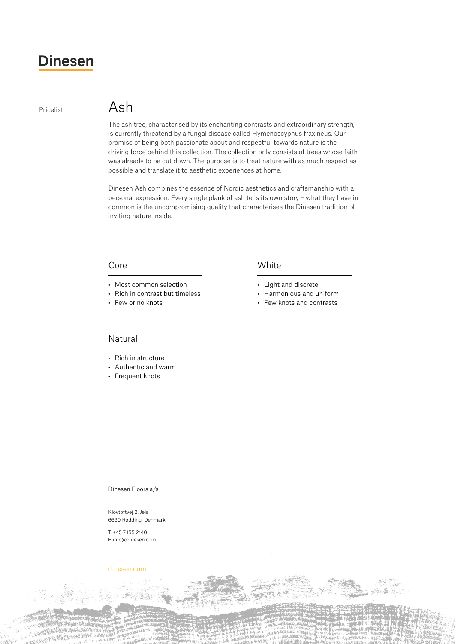# **Dinesen**

# Pricelist Ash

The ash tree, characterised by its enchanting contrasts and extraordinary strength, is currently threatend by a fungal disease called Hymenoscyphus fraxineus. Our promise of being both passionate about and respectful towards nature is the driving force behind this collection. The collection only consists of trees whose faith was already to be cut down. The purpose is to treat nature with as much respect as possible and translate it to aesthetic experiences at home.

Dinesen Ash combines the essence of Nordic aesthetics and craftsmanship with a personal expression. Every single plank of ash tells its own story – what they have in common is the uncompromising quality that characterises the Dinesen tradition of inviting nature inside.

### Core

- Most common selection
- Rich in contrast but timeless
- Few or no knots

# **White**

- • Light and discrete
- • Harmonious and uniform
- • Few knots and contrasts

## Natural

- Rich in structure
- • Authentic and warm
- Frequent knots

Dinesen Floors a/s

Klovtoftvej 2, Jels 6630 Rødding, Denmark

T +45 7455 2140 E info@dinesen.com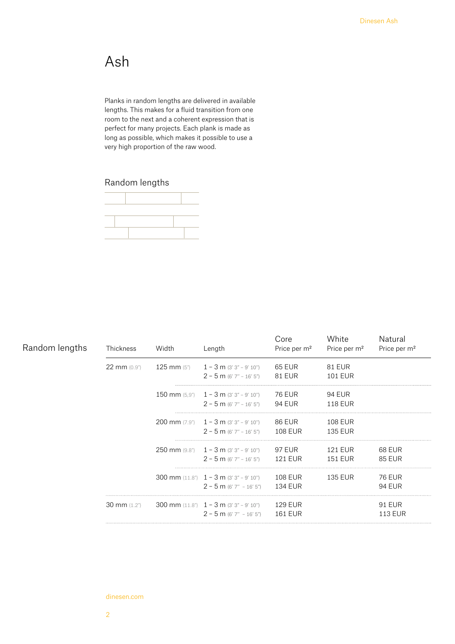# Ash

Planks in random lengths are delivered in available lengths. This makes for a fluid transition from one room to the next and a coherent expression that is perfect for many projects. Each plank is made as long as possible, which makes it possible to use a very high proportion of the raw wood.

# Random lengths



| Random lengths | Thickness              | Width | Length                                                                           | Core<br>Price per m <sup>2</sup> | White<br>Price per m <sup>2</sup> | Natural<br>Price per m <sup>2</sup> |
|----------------|------------------------|-------|----------------------------------------------------------------------------------|----------------------------------|-----------------------------------|-------------------------------------|
|                | 22 mm (0.9")           |       | 125 mm $(5")$ 1 - 3 m $(3'3" - 9'10")$<br>$2 - 5$ m (6' 7" - 16' 5")             | 65 EUR<br>81 EUR                 | <b>81 EUR</b><br><b>101 EUR</b>   |                                     |
|                |                        |       | 150 mm $(5.9")$ 1 – 3 m $(3'3" - 9'10")$<br>$2 - 5$ m (6' 7" – 16' 5")           | 76 EUR<br>94 EUR                 | 94 EUR<br><b>118 EUR</b>          |                                     |
|                |                        |       | 200 mm $(7.9")$ 1 – 3 m $(3'3" - 9'10")$<br>$2 - 5$ m (6' 7'' – 16' 5")          | 86 EUR<br>108 EUR                | <b>108 EUR</b><br><b>135 EUR</b>  |                                     |
|                |                        |       | 250 mm $(9.8n)$ 1 – 3 m $(3'3'' - 9'10'')$<br>$2 - 5$ m (6' 7" - 16' 5")         | 97 EUR<br>121 EUR                | <b>121 EUR</b><br><b>151 EUR</b>  | 68 EUR<br><b>85 EUR</b>             |
|                |                        |       | 300 mm $(11.8^{\circ})$ 1 – 3 m $(3'3'' - 9'10'')$<br>$2 - 5$ m (6' 7" - 16' 5") | 108 EUR<br><b>134 EUR</b>        | <b>135 EUR</b>                    | <b>76 EUR</b><br><b>94 EUR</b>      |
|                | $30 \text{ mm}$ (1.2") |       | 300 mm $(11.8")$ $1 - 3$ m $(3'3" - 9'10")$<br>$2 - 5$ m (6' 7" - 16' 5")        | 129 EUR<br>161 EUR               |                                   | <b>91 EUR</b><br><b>113 EUR</b>     |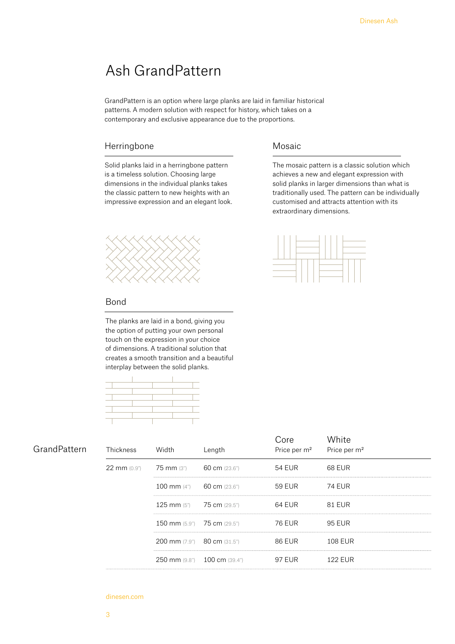# Ash GrandPattern

GrandPattern is an option where large planks are laid in familiar historical patterns. A modern solution with respect for history, which takes on a contemporary and exclusive appearance due to the proportions.

# Herringbone

Solid planks laid in a herringbone pattern is a timeless solution. Choosing large dimensions in the individual planks takes the classic pattern to new heights with an impressive expression and an elegant look.



#### Bond

The planks are laid in a bond, giving you the option of putting your own personal touch on the expression in your choice of dimensions. A traditional solution that creates a smooth transition and a beautiful interplay between the solid planks.



| GrandPattern | Thickness | Width                                 | Length                       | ore:<br>Price per m <sup>2</sup> | Mhite<br>Price per m <sup>2</sup> |
|--------------|-----------|---------------------------------------|------------------------------|----------------------------------|-----------------------------------|
|              |           | 22 mm (0.9") 75 mm (3") 60 cm (23.6") |                              | 54 EUR                           | 68 EUR                            |
|              |           | 100 mm (4") 60 cm (23.6")             |                              | 59 EUR                           | 74 EUR                            |
|              |           | 125 mm (5") 75 cm (29.5")             |                              | 64 EUR                           | 81 EUR                            |
|              |           | 150 mm (5.9") 75 cm (29.5")           |                              | 76 EUR                           | 95 EUR                            |
|              |           | 200 mm (7.9") 80 cm (31.5")           |                              | 86 EUR                           | <b>108 EUR</b>                    |
|              |           |                                       | 250 mm (9.8") 100 cm (39.4") | 97 EUR                           | 122 FUR                           |

# Mosaic

The mosaic pattern is a classic solution which achieves a new and elegant expression with solid planks in larger dimensions than what is traditionally used. The pattern can be individually customised and attracts attention with its extraordinary dimensions.